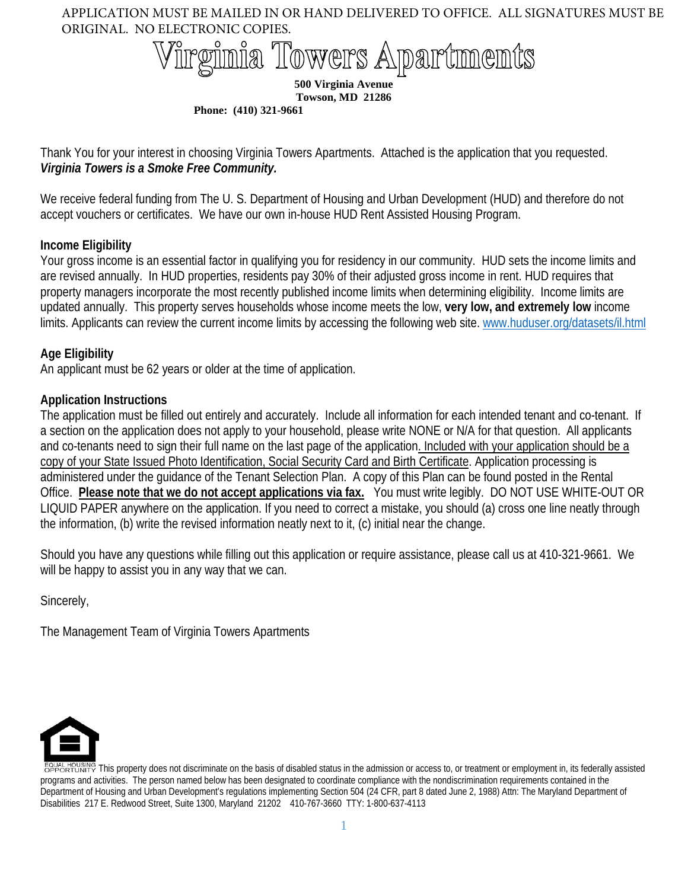# Towers Apartments

**500 Virginia Avenue Towson, MD 21286**

**Phone: (410) 321-9661** 

Thank You for your interest in choosing Virginia Towers Apartments. Attached is the application that you requested. *Virginia Towers is a Smoke Free Community.*

We receive federal funding from The U. S. Department of Housing and Urban Development (HUD) and therefore do not accept vouchers or certificates. We have our own in-house HUD Rent Assisted Housing Program.

# **Income Eligibility**

Your gross income is an essential factor in qualifying you for residency in our community. HUD sets the income limits and are revised annually. In HUD properties, residents pay 30% of their adjusted gross income in rent. HUD requires that property managers incorporate the most recently published income limits when determining eligibility. Income limits are updated annually. This property serves households whose income meets the low, **very low, and extremely low** income limits. Applicants can review the current income limits by accessing the following web site. [www.huduser.org/datasets/il.html](http://www.huduser.org/datasets/il.html)

# **Age Eligibility**

An applicant must be 62 years or older at the time of application.

# **Application Instructions**

The application must be filled out entirely and accurately. Include all information for each intended tenant and co-tenant. If a section on the application does not apply to your household, please write NONE or N/A for that question. All applicants and co-tenants need to sign their full name on the last page of the application. Included with your application should be a copy of your State Issued Photo Identification, Social Security Card and Birth Certificate. Application processing is administered under the guidance of the Tenant Selection Plan. A copy of this Plan can be found posted in the Rental Office. **Please note that we do not accept applications via fax.** You must write legibly. DO NOT USE WHITE-OUT OR LIQUID PAPER anywhere on the application. If you need to correct a mistake, you should (a) cross one line neatly through the information, (b) write the revised information neatly next to it, (c) initial near the change.

Should you have any questions while filling out this application or require assistance, please call us at 410-321-9661. We will be happy to assist you in any way that we can.

Sincerely,

The Management Team of Virginia Towers Apartments



This property does not discriminate on the basis of disabled status in the admission or access to, or treatment or employment in, its federally assisted programs and activities. The person named below has been designated to coordinate compliance with the nondiscrimination requirements contained in the Department of Housing and Urban Development's regulations implementing Section 504 (24 CFR, part 8 dated June 2, 1988) Attn: The Maryland Department of Disabilities 217 E. Redwood Street, Suite 1300, Maryland 21202 410-767-3660 TTY: 1-800-637-4113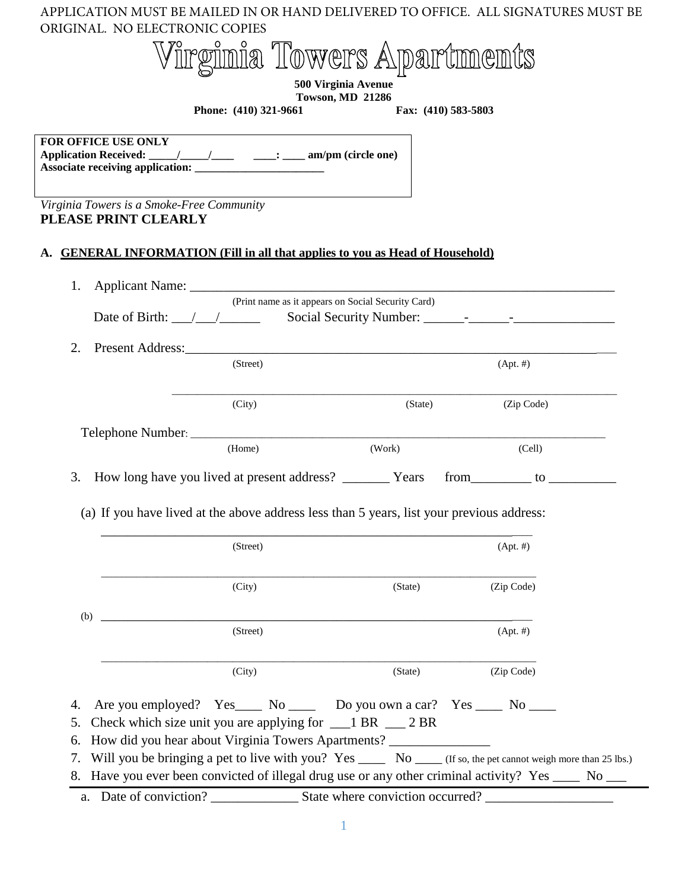| APPLICATION MUST BE MAILED IN OR HAND DELIVERED TO OFFICE. ALL SIGNATURES MUST BE<br>ORIGINAL. NO ELECTRONIC COPIES |                                                                                                                                                                                                                                                                                      |                     |                                                                                                                |
|---------------------------------------------------------------------------------------------------------------------|--------------------------------------------------------------------------------------------------------------------------------------------------------------------------------------------------------------------------------------------------------------------------------------|---------------------|----------------------------------------------------------------------------------------------------------------|
|                                                                                                                     | Virginia Towers Apartments                                                                                                                                                                                                                                                           |                     |                                                                                                                |
|                                                                                                                     | 500 Virginia Avenue                                                                                                                                                                                                                                                                  |                     |                                                                                                                |
|                                                                                                                     | <b>Towson, MD 21286</b><br>Phone: (410) 321-9661                                                                                                                                                                                                                                     | Fax: (410) 583-5803 |                                                                                                                |
|                                                                                                                     |                                                                                                                                                                                                                                                                                      |                     |                                                                                                                |
| FOR OFFICE USE ONLY                                                                                                 |                                                                                                                                                                                                                                                                                      |                     |                                                                                                                |
| Virginia Towers is a Smoke-Free Community<br>PLEASE PRINT CLEARLY                                                   |                                                                                                                                                                                                                                                                                      |                     |                                                                                                                |
| <b>GENERAL INFORMATION (Fill in all that applies to you as Head of Household)</b>                                   |                                                                                                                                                                                                                                                                                      |                     |                                                                                                                |
| 1.                                                                                                                  |                                                                                                                                                                                                                                                                                      |                     |                                                                                                                |
|                                                                                                                     | (Print name as it appears on Social Security Card)<br>Date of Birth: \[\string_{\string_{\string_{\string_{\string_{\string_{\string_{\string_{\string_{\string_{\string{\string{\string{\string{\string{\string{\string{\string{\string{\string{\string{\string{\string{\string{\st |                     |                                                                                                                |
|                                                                                                                     |                                                                                                                                                                                                                                                                                      |                     |                                                                                                                |
| 2.                                                                                                                  | (Street)                                                                                                                                                                                                                                                                             |                     | $(Apt. \#)$                                                                                                    |
|                                                                                                                     |                                                                                                                                                                                                                                                                                      |                     |                                                                                                                |
|                                                                                                                     | (City)                                                                                                                                                                                                                                                                               | (State)             | (Zip Code)                                                                                                     |
|                                                                                                                     |                                                                                                                                                                                                                                                                                      |                     |                                                                                                                |
|                                                                                                                     | (Home)                                                                                                                                                                                                                                                                               | (Work)              | (Cell)                                                                                                         |
| How long have you lived at present address? __________ Years<br>3.                                                  |                                                                                                                                                                                                                                                                                      |                     | from to                                                                                                        |
| (a) If you have lived at the above address less than 5 years, list your previous address:                           |                                                                                                                                                                                                                                                                                      |                     |                                                                                                                |
|                                                                                                                     | (Street)                                                                                                                                                                                                                                                                             |                     | $(Apt. \#)$                                                                                                    |
|                                                                                                                     | (City)                                                                                                                                                                                                                                                                               | (State)             | (Zip Code)                                                                                                     |
|                                                                                                                     |                                                                                                                                                                                                                                                                                      |                     |                                                                                                                |
| (b)                                                                                                                 | (Street)                                                                                                                                                                                                                                                                             |                     | $(Apt. \#)$                                                                                                    |
|                                                                                                                     | (City)                                                                                                                                                                                                                                                                               | (State)             | (Zip Code)                                                                                                     |
| 4.<br>5.<br>How did you hear about Virginia Towers Apartments? _____________________________<br>6.                  | Are you employed? Yes No Do you own a car? Yes No No No<br>Check which size unit you are applying for $\_\_1$ BR $\_\_2$ BR                                                                                                                                                          |                     |                                                                                                                |
| 7.<br>8. Have you ever been convicted of illegal drug use or any other criminal activity? Yes ____ No ___           |                                                                                                                                                                                                                                                                                      |                     | Will you be bringing a pet to live with you? Yes _____ No ____ (If so, the pet cannot weigh more than 25 lbs.) |
|                                                                                                                     |                                                                                                                                                                                                                                                                                      |                     |                                                                                                                |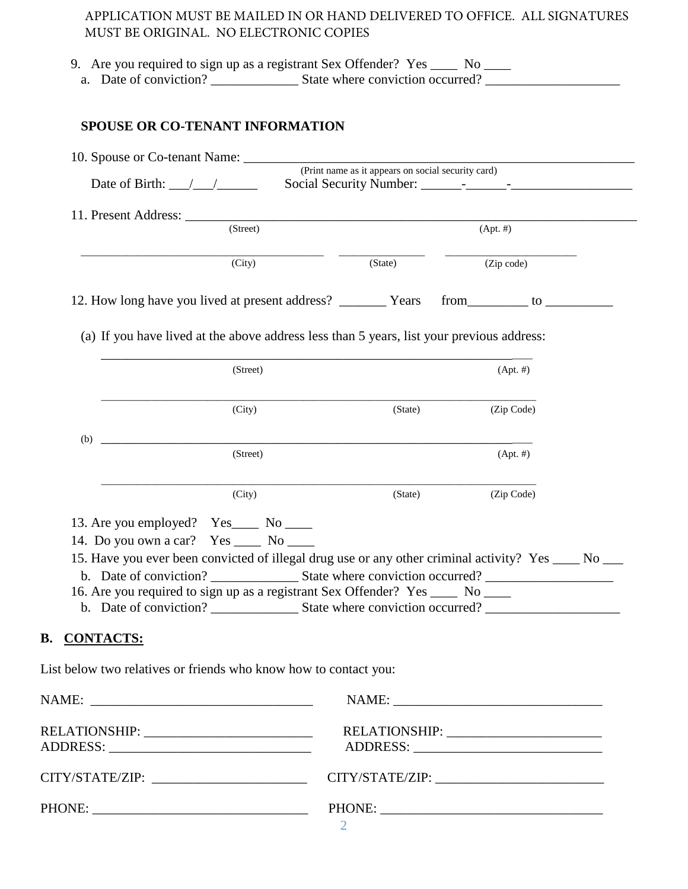|                     |                                                                                       | 9. Are you required to sign up as a registrant Sex Offender? Yes ____ No ____                        |             |  |
|---------------------|---------------------------------------------------------------------------------------|------------------------------------------------------------------------------------------------------|-------------|--|
|                     | <b>SPOUSE OR CO-TENANT INFORMATION</b>                                                |                                                                                                      |             |  |
|                     |                                                                                       | (Print name as it appears on social security card)                                                   |             |  |
|                     | Date of Birth: $\angle$                                                               |                                                                                                      |             |  |
|                     | (Street)                                                                              |                                                                                                      | $(Apt. \#)$ |  |
|                     |                                                                                       |                                                                                                      |             |  |
|                     | (City)                                                                                | (State)                                                                                              | (Zip code)  |  |
|                     | 12. How long have you lived at present address? ___________ Years                     |                                                                                                      | from to     |  |
|                     |                                                                                       |                                                                                                      |             |  |
|                     |                                                                                       | (a) If you have lived at the above address less than 5 years, list your previous address:            |             |  |
|                     | (Street)                                                                              |                                                                                                      | $(Apt. \#)$ |  |
|                     |                                                                                       |                                                                                                      |             |  |
|                     | (City)                                                                                | (State)                                                                                              | (Zip Code)  |  |
| (b)                 |                                                                                       |                                                                                                      |             |  |
|                     | (Street)                                                                              |                                                                                                      | $(Apt. \#)$ |  |
|                     | (City)                                                                                | (State)                                                                                              | (Zip Code)  |  |
|                     |                                                                                       |                                                                                                      |             |  |
|                     | 13. Are you employed? Yes_____ No _____<br>14. Do you own a car? Yes ______ No ______ |                                                                                                      |             |  |
|                     |                                                                                       | 15. Have you ever been convicted of illegal drug use or any other criminal activity? Yes ____ No ___ |             |  |
|                     |                                                                                       |                                                                                                      |             |  |
|                     |                                                                                       | 16. Are you required to sign up as a registrant Sex Offender? Yes _____ No ____                      |             |  |
|                     |                                                                                       |                                                                                                      |             |  |
|                     |                                                                                       |                                                                                                      |             |  |
|                     |                                                                                       |                                                                                                      |             |  |
|                     |                                                                                       |                                                                                                      |             |  |
|                     | List below two relatives or friends who know how to contact you:                      |                                                                                                      |             |  |
| <b>B. CONTACTS:</b> |                                                                                       |                                                                                                      |             |  |
|                     |                                                                                       |                                                                                                      |             |  |
|                     | RELATIONSHIP: ___________________________                                             | RELATIONSHIP: _________________________                                                              |             |  |
|                     | CITY/STATE/ZIP: _________________________                                             |                                                                                                      |             |  |
|                     |                                                                                       |                                                                                                      |             |  |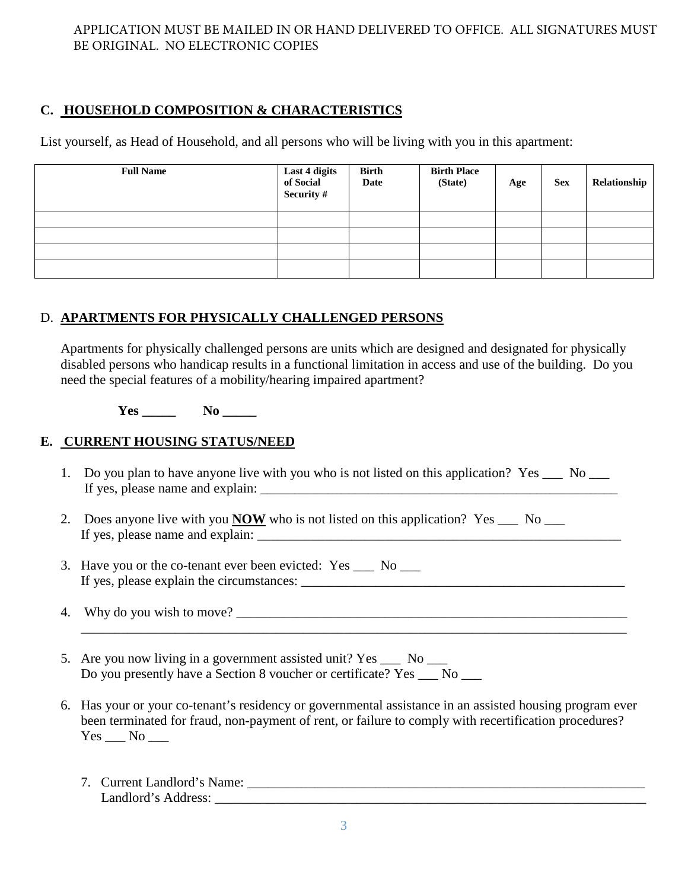# **C. HOUSEHOLD COMPOSITION & CHARACTERISTICS**

List yourself, as Head of Household, and all persons who will be living with you in this apartment:

| <b>Full Name</b> | Last 4 digits<br>of Social<br>Security # | <b>Birth</b><br>Date | <b>Birth Place</b><br>(State) | Age | <b>Sex</b> | Relationship |
|------------------|------------------------------------------|----------------------|-------------------------------|-----|------------|--------------|
|                  |                                          |                      |                               |     |            |              |
|                  |                                          |                      |                               |     |            |              |
|                  |                                          |                      |                               |     |            |              |
|                  |                                          |                      |                               |     |            |              |

# D. **APARTMENTS FOR PHYSICALLY CHALLENGED PERSONS**

Apartments for physically challenged persons are units which are designed and designated for physically disabled persons who handicap results in a functional limitation in access and use of the building. Do you need the special features of a mobility/hearing impaired apartment?

 $Yes$  **No** 

# **E. CURRENT HOUSING STATUS/NEED**

- 1. Do you plan to have anyone live with you who is not listed on this application? Yes \_\_\_ No \_\_\_ If yes, please name and explain:
- 2. Does anyone live with you **NOW** who is not listed on this application? Yes \_\_\_ No \_\_\_ If yes, please name and explain:
- 3. Have you or the co-tenant ever been evicted: Yes \_\_\_ No \_\_\_ If yes, please explain the circumstances:  $\Box$
- 4. Why do you wish to move?
- 5. Are you now living in a government assisted unit? Yes \_\_\_ No \_\_\_ Do you presently have a Section 8 voucher or certificate? Yes No
- 6. Has your or your co-tenant's residency or governmental assistance in an assisted housing program ever been terminated for fraud, non-payment of rent, or failure to comply with recertification procedures?  $Yes$   $No$   $\_\_$

\_\_\_\_\_\_\_\_\_\_\_\_\_\_\_\_\_\_\_\_\_\_\_\_\_\_\_\_\_\_\_\_\_\_\_\_\_\_\_\_\_\_\_\_\_\_\_\_\_\_\_\_\_\_\_\_\_\_\_\_\_\_\_\_\_\_\_\_\_\_\_\_\_\_\_\_\_\_\_\_\_

7. Current Landlord's Name: \_\_\_\_\_\_\_\_\_\_\_\_\_\_\_\_\_\_\_\_\_\_\_\_\_\_\_\_\_\_\_\_\_\_\_\_\_\_\_\_\_\_\_\_\_\_\_\_\_\_\_\_\_\_\_\_\_\_\_ Landlord's Address: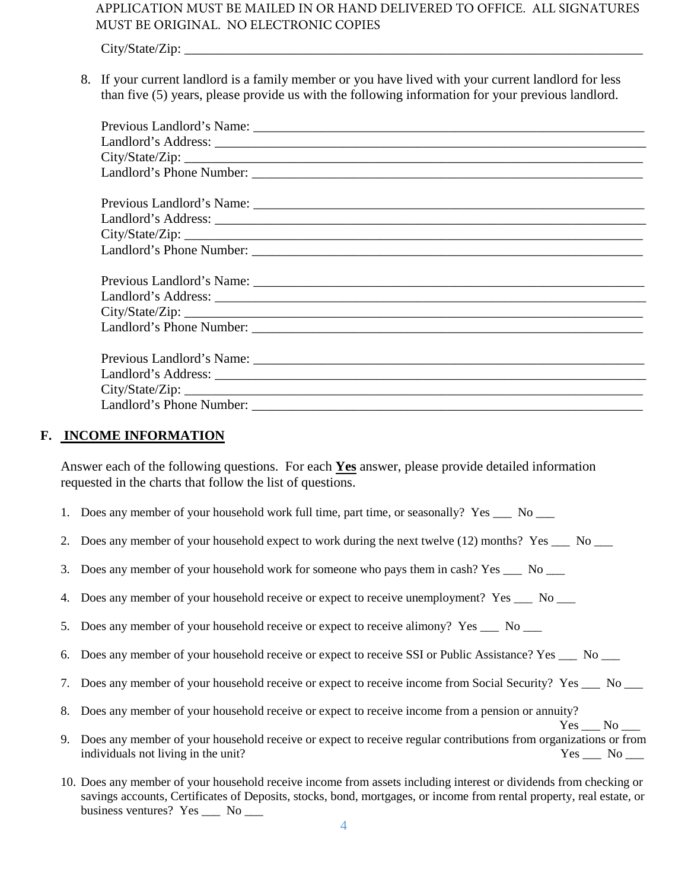City/State/Zip:

8. If your current landlord is a family member or you have lived with your current landlord for less than five (5) years, please provide us with the following information for your previous landlord.

## **F. INCOME INFORMATION**

Answer each of the following questions. For each **Yes** answer, please provide detailed information requested in the charts that follow the list of questions.

- 1. Does any member of your household work full time, part time, or seasonally? Yes \_\_\_ No \_\_\_
- 2. Does any member of your household expect to work during the next twelve (12) months? Yes  $\sim$  No  $\sim$
- 3. Does any member of your household work for someone who pays them in cash? Yes No
- 4. Does any member of your household receive or expect to receive unemployment? Yes \_\_\_ No \_\_\_
- 5. Does any member of your household receive or expect to receive alimony? Yes No
- 6. Does any member of your household receive or expect to receive SSI or Public Assistance? Yes \_\_\_ No \_\_\_
- 7. Does any member of your household receive or expect to receive income from Social Security? Yes \_\_\_ No \_\_\_
- 8. Does any member of your household receive or expect to receive income from a pension or annuity?

 $Yes \_\_No \_\_$ 9. Does any member of your household receive or expect to receive regular contributions from organizations or from individuals not living in the unit? Yes  $\qquad$  No  $\qquad$ 

10. Does any member of your household receive income from assets including interest or dividends from checking or savings accounts, Certificates of Deposits, stocks, bond, mortgages, or income from rental property, real estate, or business ventures? Yes \_\_\_ No \_\_\_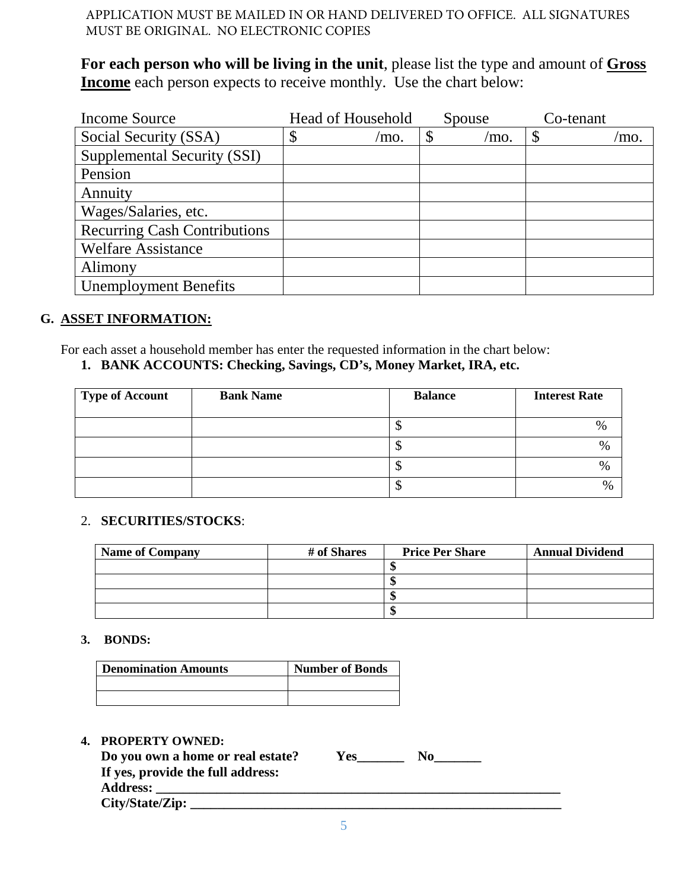**For each person who will be living in the unit**, please list the type and amount of **Gross Income** each person expects to receive monthly. Use the chart below:

| <b>Income Source</b>                | <b>Head of Household</b> |            | Spouse | Co-tenant |
|-------------------------------------|--------------------------|------------|--------|-----------|
| Social Security (SSA)               | \$                       | \$<br>/mo. | mo.    | /mo.      |
| Supplemental Security (SSI)         |                          |            |        |           |
| Pension                             |                          |            |        |           |
| Annuity                             |                          |            |        |           |
| Wages/Salaries, etc.                |                          |            |        |           |
| <b>Recurring Cash Contributions</b> |                          |            |        |           |
| <b>Welfare Assistance</b>           |                          |            |        |           |
| Alimony                             |                          |            |        |           |
| <b>Unemployment Benefits</b>        |                          |            |        |           |

## **G. ASSET INFORMATION:**

For each asset a household member has enter the requested information in the chart below: **1. BANK ACCOUNTS: Checking, Savings, CD's, Money Market, IRA, etc.**

| Type of Account | <b>Bank Name</b> | <b>Balance</b> | <b>Interest Rate</b> |
|-----------------|------------------|----------------|----------------------|
|                 |                  | Ψ              | $\%$                 |
|                 |                  | Ψ              | %                    |
|                 |                  | Φ              | $\%$                 |
|                 |                  | Φ              | $\%$                 |

## 2. **SECURITIES/STOCKS**:

| <b>Name of Company</b> | # of Shares | <b>Price Per Share</b> | <b>Annual Dividend</b> |
|------------------------|-------------|------------------------|------------------------|
|                        |             |                        |                        |
|                        |             |                        |                        |
|                        |             | w                      |                        |
|                        |             |                        |                        |

## **3. BONDS:**

| <b>Denomination Amounts</b> | <b>Number of Bonds</b> |
|-----------------------------|------------------------|
|                             |                        |
|                             |                        |

## **4. PROPERTY OWNED:**

| Do you own a home or real estate? | Y es | No |
|-----------------------------------|------|----|
| If yes, provide the full address: |      |    |
| <b>Address:</b>                   |      |    |
| City/State/Zip:                   |      |    |